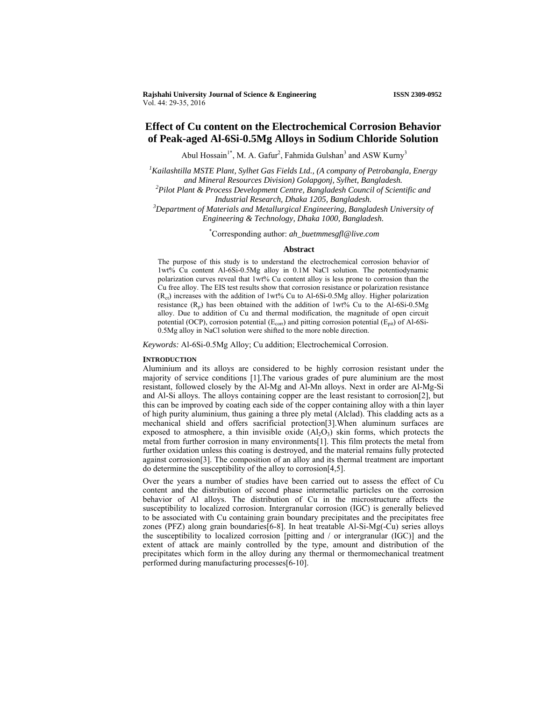**Rajshahi University Journal of Science & Engineering ISSN 2309-0952** Vol. 44: 29-35, 2016

# **Effect of Cu content on the Electrochemical Corrosion Behavior of Peak-aged Al-6Si-0.5Mg Alloys in Sodium Chloride Solution**

Abul Hossain<sup>1\*</sup>, M. A. Gafur<sup>2</sup>, Fahmida Gulshan<sup>3</sup> and ASW Kurny<sup>3</sup>

*1 Kailashtilla MSTE Plant, Sylhet Gas Fields Ltd., (A company of Petrobangla, Energy and Mineral Resources Division) Golapgonj, Sylhet, Bangladesh. 2 Pilot Plant & Process Development Centre, Bangladesh Council of Scientific and Industrial Research, Dhaka 1205, Bangladesh. 3 Department of Materials and Metallurgical Engineering, Bangladesh University of* 

*Engineering & Technology, Dhaka 1000, Bangladesh.* 

\* Corresponding author: *ah\_buetmmesgfl@live.com* 

### **Abstract**

The purpose of this study is to understand the electrochemical corrosion behavior of 1wt% Cu content Al-6Si-0.5Mg alloy in 0.1M NaCl solution. The potentiodynamic polarization curves reveal that 1wt% Cu content alloy is less prone to corrosion than the Cu free alloy. The EIS test results show that corrosion resistance or polarization resistance  $(R<sub>ct</sub>)$  increases with the addition of 1wt% Cu to Al-6Si-0.5Mg alloy. Higher polarization resistance  $(R_p)$  has been obtained with the addition of 1wt% Cu to the Al-6Si-0.5Mg alloy. Due to addition of Cu and thermal modification, the magnitude of open circuit potential (OCP), corrosion potential ( $E_{corr}$ ) and pitting corrosion potential ( $E_{pit}$ ) of Al-6Si-0.5Mg alloy in NaCl solution were shifted to the more noble direction.

*Keywords:* Al-6Si-0.5Mg Alloy; Cu addition; Electrochemical Corrosion.

### **INTRODUCTION**

Aluminium and its alloys are considered to be highly corrosion resistant under the majority of service conditions [1].The various grades of pure aluminium are the most resistant, followed closely by the Al-Mg and Al-Mn alloys. Next in order are Al-Mg-Si and Al-Si alloys. The alloys containing copper are the least resistant to corrosion[2], but this can be improved by coating each side of the copper containing alloy with a thin layer of high purity aluminium, thus gaining a three ply metal (Alclad). This cladding acts as a mechanical shield and offers sacrificial protection[3].When aluminum surfaces are exposed to atmosphere, a thin invisible oxide  $(A_1O_3)$  skin forms, which protects the metal from further corrosion in many environments[1]. This film protects the metal from further oxidation unless this coating is destroyed, and the material remains fully protected against corrosion[3]. The composition of an alloy and its thermal treatment are important do determine the susceptibility of the alloy to corrosion[4,5].

Over the years a number of studies have been carried out to assess the effect of Cu content and the distribution of second phase intermetallic particles on the corrosion behavior of Al alloys. The distribution of Cu in the microstructure affects the susceptibility to localized corrosion. Intergranular corrosion (IGC) is generally believed to be associated with Cu containing grain boundary precipitates and the precipitates free zones (PFZ) along grain boundaries[6-8]. In heat treatable Al-Si-Mg(- $\hat{C}u$ ) series alloys the susceptibility to localized corrosion [pitting and / or intergranular (IGC)] and the extent of attack are mainly controlled by the type, amount and distribution of the precipitates which form in the alloy during any thermal or thermomechanical treatment performed during manufacturing processes[6-10].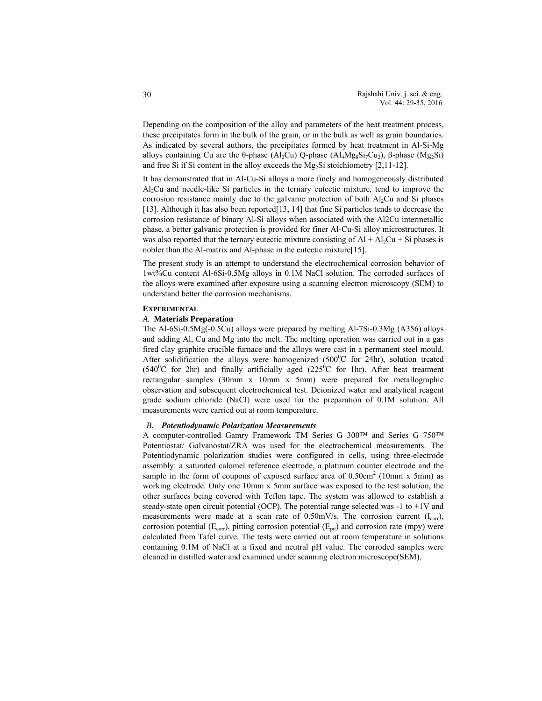Depending on the composition of the alloy and parameters of the heat treatment process, these precipitates form in the bulk of the grain, or in the bulk as well as grain boundaries. As indicated by several authors, the precipitates formed by heat treatment in Al-Si-Mg alloys containing Cu are the θ-phase (Al<sub>2</sub>Cu) Q-phase (Al<sub>4</sub>Mg<sub>8</sub>Si<sub>7</sub>Cu<sub>2</sub>), β-phase (Mg<sub>2</sub>Si) and free Si if Si content in the alloy exceeds the  $Mg_2S$  is stoichiometry [2,11-12].

It has demonstrated that in Al-Cu-Si alloys a more finely and homogeneously distributed Al2Cu and needle-like Si particles in the ternary eutectic mixture, tend to improve the corrosion resistance mainly due to the galvanic protection of both  $Al<sub>2</sub>Cu$  and Si phases [13]. Although it has also been reported[13, 14] that fine Si particles tends to decrease the corrosion resistance of binary Al-Si alloys when associated with the Al2Cu intermetallic phase, a better galvanic protection is provided for finer Al-Cu-Si alloy microstructures. It was also reported that the ternary eutectic mixture consisting of  $Al + Al<sub>2</sub>Cu + Si$  phases is nobler than the Al-matrix and Al-phase in the eutectic mixture[15].

The present study is an attempt to understand the electrochemical corrosion behavior of 1wt%Cu content Al-6Si-0.5Mg alloys in 0.1M NaCl solution. The corroded surfaces of the alloys were examined after exposure using a scanning electron microscopy (SEM) to understand better the corrosion mechanisms.

### **EXPERIMENTAL**

### *A.* **Materials Preparation**

The Al-6Si-0.5Mg(-0.5Cu) alloys were prepared by melting Al-7Si-0.3Mg (A356) alloys and adding Al, Cu and Mg into the melt. The melting operation was carried out in a gas fired clay graphite crucible furnace and the alloys were cast in a permanent steel mould. After solidification the alloys were homogenized  $(500^{\circ}C)$  for 24hr), solution treated  $(540^{\circ}$ C for 2hr) and finally artificially aged  $(225^{\circ}$ C for 1hr). After heat treatment rectangular samples (30mm x 10mm x 5mm) were prepared for metallographic observation and subsequent electrochemical test. Deionized water and analytical reagent grade sodium chloride (NaCl) were used for the preparation of 0.1M solution. All measurements were carried out at room temperature.

### *B. Potentiodynamic Polarization Measurements*

A computer-controlled Gamry Framework TM Series G 300™ and Series G 750™ Potentiostat/ Galvanostat/ZRA was used for the electrochemical measurements. The Potentiodynamic polarization studies were configured in cells, using three-electrode assembly: a saturated calomel reference electrode, a platinum counter electrode and the sample in the form of coupons of exposed surface area of  $0.50 \text{cm}^2$  (10mm x 5mm) as working electrode. Only one 10mm x 5mm surface was exposed to the test solution, the other surfaces being covered with Teflon tape. The system was allowed to establish a steady-state open circuit potential (OCP). The potential range selected was  $-1$  to  $+1V$  and measurements were made at a scan rate of  $0.50$ mV/s. The corrosion current ( $I_{corr}$ ), corrosion potential ( $E_{corr}$ ), pitting corrosion potential ( $E_{pit}$ ) and corrosion rate (mpy) were calculated from Tafel curve. The tests were carried out at room temperature in solutions containing 0.1M of NaCl at a fixed and neutral pH value. The corroded samples were cleaned in distilled water and examined under scanning electron microscope(SEM).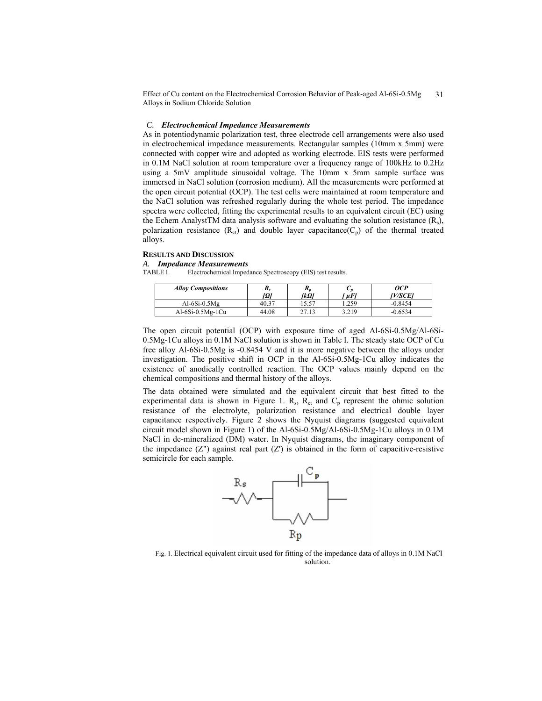Effect of Cu content on the Electrochemical Corrosion Behavior of Peak-aged Al-6Si-0.5Mg Alloys in Sodium Chloride Solution 31

### *C. Electrochemical Impedance Measurements*

As in potentiodynamic polarization test, three electrode cell arrangements were also used in electrochemical impedance measurements. Rectangular samples (10mm x 5mm) were connected with copper wire and adopted as working electrode. EIS tests were performed in 0.1M NaCl solution at room temperature over a frequency range of 100kHz to 0.2Hz using a 5mV amplitude sinusoidal voltage. The 10mm x 5mm sample surface was immersed in NaCl solution (corrosion medium). All the measurements were performed at the open circuit potential (OCP). The test cells were maintained at room temperature and the NaCl solution was refreshed regularly during the whole test period. The impedance spectra were collected, fitting the experimental results to an equivalent circuit (EC) using the Echem AnalystTM data analysis software and evaluating the solution resistance  $(R_s)$ , polarization resistance  $(R_{ct})$  and double layer capacitance( $C_p$ ) of the thermal treated alloys.

# **RESULTS AND DISCUSSION**

# *A. Impedance Measurements*

TABLE I. Electrochemical Impedance Spectroscopy (EIS) test results.

| <b>Alloy Compositions</b> | л,<br>$ \Omega $ | л,<br>IkΩl | ັທ<br>$\mu F'$ | OCP<br>W/SCE1 |
|---------------------------|------------------|------------|----------------|---------------|
| Al- $6Si-0.5Mg$           | 40.37            | 5.57ء      | .259           | $-0.8454$     |
| $Al-6Si-0.5Mg-1Cu$        | 44.08            | 27.13      | 3.219          | $-0.6534$     |

The open circuit potential (OCP) with exposure time of aged Al-6Si-0.5Mg/Al-6Si-0.5Mg-1Cu alloys in 0.1M NaCl solution is shown in Table I. The steady state OCP of Cu free alloy Al-6Si-0.5Mg is -0.8454 V and it is more negative between the alloys under investigation. The positive shift in OCP in the Al-6Si-0.5Mg-1Cu alloy indicates the existence of anodically controlled reaction. The OCP values mainly depend on the chemical compositions and thermal history of the alloys.

The data obtained were simulated and the equivalent circuit that best fitted to the experimental data is shown in Figure 1.  $R_s$ ,  $R_{ct}$  and  $C_p$  represent the ohmic solution resistance of the electrolyte, polarization resistance and electrical double layer capacitance respectively. Figure 2 shows the Nyquist diagrams (suggested equivalent circuit model shown in Figure 1) of the Al-6Si-0.5Mg/Al-6Si-0.5Mg-1Cu alloys in 0.1M NaCl in de-mineralized (DM) water. In Nyquist diagrams, the imaginary component of the impedance  $(Z<sup>n</sup>)$  against real part  $(Z<sup>n</sup>)$  is obtained in the form of capacitive-resistive semicircle for each sample.



Fig. 1. Electrical equivalent circuit used for fitting of the impedance data of alloys in 0.1M NaCl solution.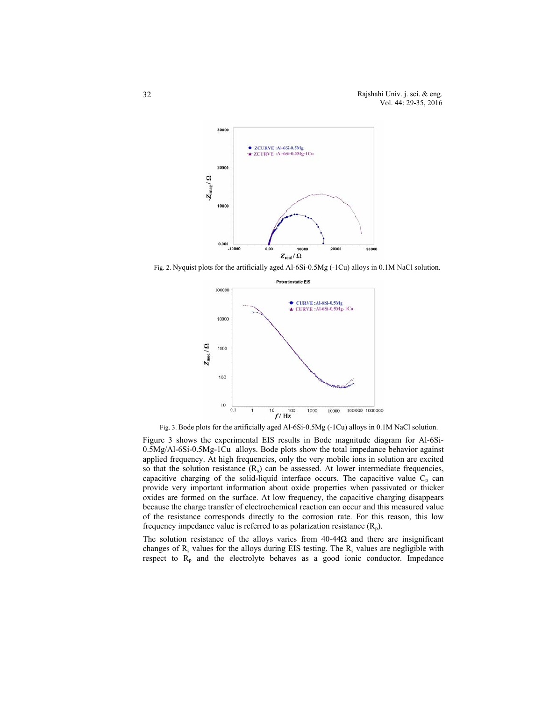Rajshahi Univ. j. sci. & eng. Vol. 44: 29-35, 2016



Fig. 2. Nyquist plots for the artificially aged Al-6Si-0.5Mg (-1Cu) alloys in 0.1M NaCl solution.



Fig. 3. Bode plots for the artificially aged Al-6Si-0.5Mg (-1Cu) alloys in 0.1M NaCl solution.

Figure 3 shows the experimental EIS results in Bode magnitude diagram for Al-6Si-0.5Mg/Al-6Si-0.5Mg-1Cu alloys. Bode plots show the total impedance behavior against applied frequency. At high frequencies, only the very mobile ions in solution are excited so that the solution resistance  $(R_s)$  can be assessed. At lower intermediate frequencies, capacitive charging of the solid-liquid interface occurs. The capacitive value  $C_p$  can provide very important information about oxide properties when passivated or thicker oxides are formed on the surface. At low frequency, the capacitive charging disappears because the charge transfer of electrochemical reaction can occur and this measured value of the resistance corresponds directly to the corrosion rate. For this reason, this low frequency impedance value is referred to as polarization resistance  $(R_p)$ .

The solution resistance of the alloys varies from 40-44Ω and there are insignificant changes of  $R_s$  values for the alloys during EIS testing. The  $R_s$  values are negligible with respect to  $R_p$  and the electrolyte behaves as a good ionic conductor. Impedance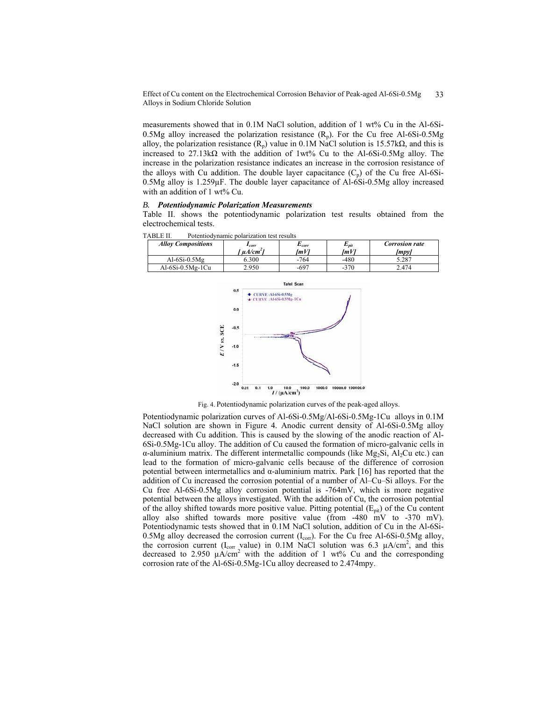Effect of Cu content on the Electrochemical Corrosion Behavior of Peak-aged Al-6Si-0.5Mg Alloys in Sodium Chloride Solution 33

measurements showed that in 0.1M NaCl solution, addition of 1 wt% Cu in the Al-6Si-0.5Mg alloy increased the polarization resistance  $(R_p)$ . For the Cu free Al-6Si-0.5Mg alloy, the polarization resistance  $(R_p)$  value in 0.1M NaCl solution is 15.57k $\Omega$ , and this is increased to 27.13k $\Omega$  with the addition of 1wt% Cu to the Al-6Si-0.5Mg alloy. The increase in the polarization resistance indicates an increase in the corrosion resistance of the alloys with Cu addition. The double layer capacitance  $(C_p)$  of the Cu free Al-6Si- $0.5Mg$  alloy is  $1.259\mu$ F. The double layer capacitance of Al-6Si-0.5Mg alloy increased with an addition of 1 wt% Cu.

### *B. Potentiodynamic Polarization Measurements*

Table II. shows the potentiodynamic polarization test results obtained from the electrochemical tests.

| <b>Alloy Compositions</b> |     | $I_{corr}$<br>$\mu A/cm^2$                                | $E_{corr}$<br>[mV] | $E_{pit}$<br>[mV] | <b>Corrosion rate</b><br>[mpy] |
|---------------------------|-----|-----------------------------------------------------------|--------------------|-------------------|--------------------------------|
| Al- $6Si-0.5Mg$           |     | 6.300                                                     | $-764$             | -480              | 5.287                          |
| $Al-6Si-0.5Mg-1Cu$        |     | 2.950                                                     | $-697$             | $-370$            | 2.474                          |
|                           | 0.5 | $\bullet$ CURVE: Al-6Si-0.5Mg<br>CURVE : Al-6Si-0.5Mg-1Cu | <b>Tafel Scan</b>  |                   |                                |

TABLE II. Potentiodynamic polarization test results



Fig. 4. Potentiodynamic polarization curves of the peak-aged alloys.

Potentiodynamic polarization curves of Al-6Si-0.5Mg/Al-6Si-0.5Mg-1Cu alloys in 0.1M NaCl solution are shown in Figure 4. Anodic current density of Al-6Si-0.5Mg alloy decreased with Cu addition. This is caused by the slowing of the anodic reaction of Al-6Si-0.5Mg-1Cu alloy. The addition of Cu caused the formation of micro-galvanic cells in  $α$ -aluminium matrix. The different intermetallic compounds (like Mg<sub>2</sub>Si, Al<sub>2</sub>Cu etc.) can lead to the formation of micro-galvanic cells because of the difference of corrosion potential between intermetallics and α-aluminium matrix. Park [16] has reported that the addition of Cu increased the corrosion potential of a number of Al–Cu–Si alloys. For the Cu free Al-6Si-0.5Mg alloy corrosion potential is -764mV, which is more negative potential between the alloys investigated. With the addition of Cu, the corrosion potential of the alloy shifted towards more positive value. Pitting potential  $(E_{pit})$  of the Cu content alloy also shifted towards more positive value (from -480 mV to -370 mV). Potentiodynamic tests showed that in 0.1M NaCl solution, addition of Cu in the Al-6Si-0.5Mg alloy decreased the corrosion current  $(I_{\text{corr}})$ . For the Cu free Al-6Si-0.5Mg alloy, the corrosion current ( $I_{corr}$  value) in 0.1M NaCl solution was 6.3  $\mu A/cm^2$ , and this decreased to 2.950  $\mu A/cm^2$  with the addition of 1 wt% Cu and the corresponding corrosion rate of the Al-6Si-0.5Mg-1Cu alloy decreased to 2.474mpy.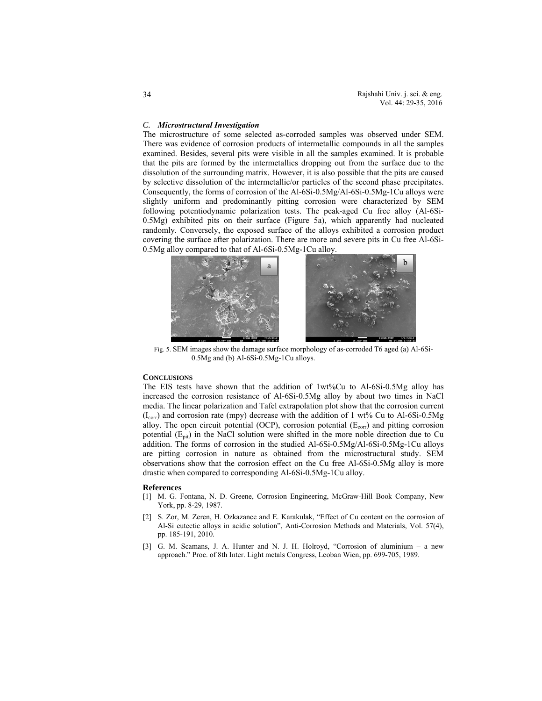### *C. Microstructural Investigation*

The microstructure of some selected as-corroded samples was observed under SEM. There was evidence of corrosion products of intermetallic compounds in all the samples examined. Besides, several pits were visible in all the samples examined. It is probable that the pits are formed by the intermetallics dropping out from the surface due to the dissolution of the surrounding matrix. However, it is also possible that the pits are caused by selective dissolution of the intermetallic/or particles of the second phase precipitates. Consequently, the forms of corrosion of the Al-6Si-0.5Mg/Al-6Si-0.5Mg-1Cu alloys were slightly uniform and predominantly pitting corrosion were characterized by SEM following potentiodynamic polarization tests. The peak-aged Cu free alloy (Al-6Si-0.5Mg) exhibited pits on their surface (Figure 5a), which apparently had nucleated randomly. Conversely, the exposed surface of the alloys exhibited a corrosion product covering the surface after polarization. There are more and severe pits in Cu free Al-6Si-0.5Mg alloy compared to that of Al-6Si-0.5Mg-1Cu alloy.



Fig. 5. SEM images show the damage surface morphology of as-corroded T6 aged (a) Al-6Si-0.5Mg and (b) Al-6Si-0.5Mg-1Cu alloys.

# **CONCLUSIONS**

The EIS tests have shown that the addition of 1wt%Cu to Al-6Si-0.5Mg alloy has increased the corrosion resistance of Al-6Si-0.5Mg alloy by about two times in NaCl media. The linear polarization and Tafel extrapolation plot show that the corrosion current  $(I_{\rm corr})$  and corrosion rate (mpy) decrease with the addition of 1 wt% Cu to Al-6Si-0.5Mg alloy. The open circuit potential (OCP), corrosion potential ( $E_{\text{corr}}$ ) and pitting corrosion potential  $(E_{pit})$  in the NaCl solution were shifted in the more noble direction due to Cu addition. The forms of corrosion in the studied Al-6Si-0.5Mg/Al-6Si-0.5Mg-1Cu alloys are pitting corrosion in nature as obtained from the microstructural study. SEM observations show that the corrosion effect on the Cu free Al-6Si-0.5Mg alloy is more drastic when compared to corresponding Al-6Si-0.5Mg-1Cu alloy.

#### **References**

- [1] M. G. Fontana, N. D. Greene, Corrosion Engineering, McGraw-Hill Book Company, New York, pp. 8-29, 1987.
- [2] S. Zor, M. Zeren, H. Ozkazance and E. Karakulak, "Effect of Cu content on the corrosion of Al-Si eutectic alloys in acidic solution", Anti-Corrosion Methods and Materials, Vol. 57(4), pp. 185-191, 2010.
- [3] G. M. Scamans, J. A. Hunter and N. J. H. Holroyd, "Corrosion of aluminium a new approach." Proc. of 8th Inter. Light metals Congress, Leoban Wien, pp. 699-705, 1989.

34